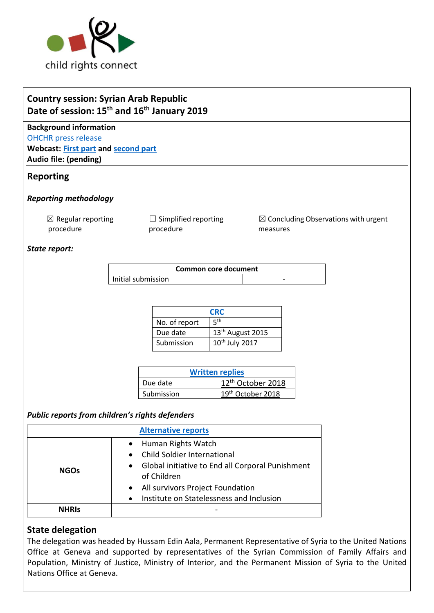

# **Country session: Syrian Arab Republic Date of session: 15th and 16th January 2019**

**Background information** [OHCHR press release](https://www.ohchr.org/EN/NewsEvents/Pages/DisplayNews.aspx?NewsID=24082&LangID=E) **Webcast: [First part](http://webtv.un.org/search/consideration-of-syrian-arab-republic-2344th-meeting-80th-session-committee-on-the-rights-of-the-child/5989932440001/?term=&lan=english&cat=Treaty%20Bodies&sort=date&page=2) and [second part](http://webtv.un.org/search/consideration-of-syrian-arab-republic-contd-2345th-meeting-80th-session-committee-on-the-rights-of-the-child/5990112779001/?term=&lan=english&cat=Treaty%20Bodies&sort=date&page=2) Audio file: (pending)**

## **Reporting**

#### *Reporting methodology*

 $\boxtimes$  Regular reporting procedure

 $\Box$  Simplified reporting procedure

 $\boxtimes$  Concluding Observations with urgent measures

#### *State report:*

| Common core document |  |   |  |
|----------------------|--|---|--|
| Initial submission   |  | - |  |

| <b>CRC</b>    |                              |  |
|---------------|------------------------------|--|
| No. of report | ςth                          |  |
| Due date      | 13 <sup>th</sup> August 2015 |  |
| Submission    | 10 <sup>th</sup> July 2017   |  |

| <b>Written replies</b> |                               |  |
|------------------------|-------------------------------|--|
| Due date               | 12 <sup>th</sup> October 2018 |  |
| Submission             | 19 <sup>th</sup> October 2018 |  |

## *Public reports from children's rights defenders*

| <b>Alternative reports</b> |                                                                                                                             |  |
|----------------------------|-----------------------------------------------------------------------------------------------------------------------------|--|
| <b>NGOs</b>                | Human Rights Watch<br><b>Child Soldier International</b><br>Global initiative to End all Corporal Punishment<br>of Children |  |
|                            | All survivors Project Foundation<br>Institute on Statelessness and Inclusion                                                |  |
| <b>NHRIS</b>               |                                                                                                                             |  |

## **State delegation**

The delegation was headed by Hussam Edin Aala, Permanent Representative of Syria to the United Nations Office at Geneva and supported by representatives of the Syrian Commission of Family Affairs and Population, Ministry of Justice, Ministry of Interior, and the Permanent Mission of Syria to the United Nations Office at Geneva.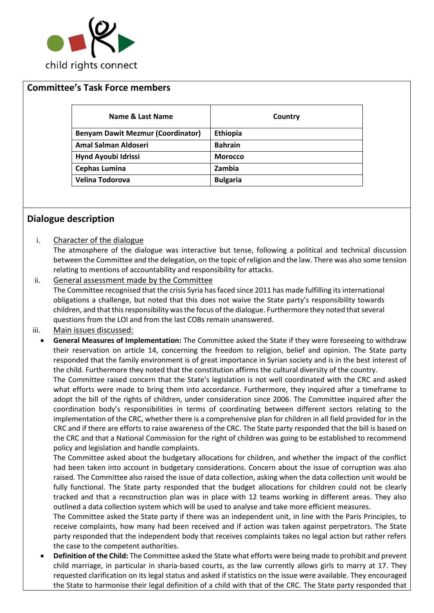

#### **Committee's Task Force members**

| Name & Last Name                         | Country         |
|------------------------------------------|-----------------|
| <b>Benyam Dawit Mezmur (Coordinator)</b> | Ethiopia        |
| <b>Amal Salman Aldoseri</b>              | <b>Bahrain</b>  |
| Hynd Ayoubi Idrissi                      | <b>Morocco</b>  |
| <b>Cephas Lumina</b>                     | Zambia          |
| Velina Todorova                          | <b>Bulgaria</b> |

### **Dialogue description**

i. Character of the dialogue

The atmosphere of the dialogue was interactive but tense, following a political and technical discussion between the Committee and the delegation, on the topic of religion and the law. There was also some tension relating to mentions of accountability and responsibility for attacks.

ii. General assessment made by the Committee

The Committee recognised that the crisis Syria has faced since 2011 has made fulfilling its international obligations a challenge, but noted that this does not waive the State party's responsibility towards children, and that this responsibility was the focus of the dialogue. Furthermore they noted thatseveral questions from the LOI and from the last COBs remain unanswered.

- iii. Main issues discussed:
	- **General Measures of Implementation:** The Committee asked the State if they were foreseeing to withdraw their reservation on article 14, concerning the freedom to religion, belief and opinion. The State party responded that the family environment is of great importance in Syrian society and is in the best interest of the child. Furthermore they noted that the constitution affirms the cultural diversity of the country.

The Committee raised concern that the State's legislation is not well coordinated with the CRC and asked what efforts were made to bring them into accordance. Furthermore, they inquired after a timeframe to adopt the bill of the rights of children, under consideration since 2006. The Committee inquired after the coordination body's responsibilities in terms of coordinating between different sectors relating to the implementation of the CRC, whether there is a comprehensive plan for children in all field provided for in the CRC and if there are efforts to raise awareness of the CRC. The State party responded that the bill is based on the CRC and that a National Commission for the right of children was going to be established to recommend policy and legislation and handle complaints.

The Committee asked about the budgetary allocations for children, and whether the impact of the conflict had been taken into account in budgetary considerations. Concern about the issue of corruption was also raised. The Committee also raised the issue of data collection, asking when the data collection unit would be fully functional. The State party responded that the budget allocations for children could not be clearly tracked and that a reconstruction plan was in place with 12 teams working in different areas. They also outlined a data collection system which will be used to analyse and take more efficient measures.

The Committee asked the State party if there was an independent unit, in line with the Paris Principles, to receive complaints, how many had been received and if action was taken against perpetrators. The State party responded that the independent body that receives complaints takes no legal action but rather refers the case to the competent authorities.

• **Definition of the Child:** The Committee asked the State what efforts were being made to prohibit and prevent child marriage, in particular in sharia-based courts, as the law currently allows girls to marry at 17. They requested clarification on its legal status and asked if statistics on the issue were available. They encouraged the State to harmonise their legal definition of a child with that of the CRC. The State party responded that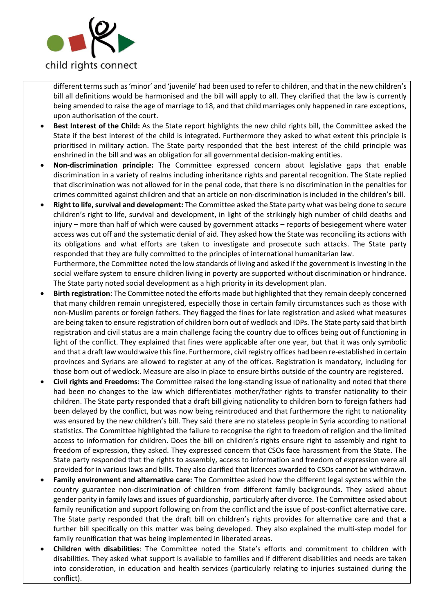

different terms such as 'minor' and 'juvenile' had been used to refer to children, and that in the new children's bill all definitions would be harmonised and the bill will apply to all. They clarified that the law is currently being amended to raise the age of marriage to 18, and that child marriages only happened in rare exceptions, upon authorisation of the court.

- **Best Interest of the Child:** As the State report highlights the new child rights bill, the Committee asked the State if the best interest of the child is integrated. Furthermore they asked to what extent this principle is prioritised in military action. The State party responded that the best interest of the child principle was enshrined in the bill and was an obligation for all governmental decision-making entities.
- **Non-discrimination principle:** The Committee expressed concern about legislative gaps that enable discrimination in a variety of realms including inheritance rights and parental recognition. The State replied that discrimination was not allowed for in the penal code, that there is no discrimination in the penalties for crimes committed against children and that an article on non-discrimination is included in the children's bill.
- **Right to life, survival and development:** The Committee asked the State party what was being done to secure children's right to life, survival and development, in light of the strikingly high number of child deaths and injury – more than half of which were caused by government attacks – reports of besiegement where water access was cut off and the systematic denial of aid. They asked how the State was reconciling its actions with its obligations and what efforts are taken to investigate and prosecute such attacks. The State party responded that they are fully committed to the principles of international humanitarian law. Furthermore, the Committee noted the low standards of living and asked if the government is investing in the social welfare system to ensure children living in poverty are supported without discrimination or hindrance. The State party noted social development as a high priority in its development plan.
- **Birth registration**: The Committee noted the efforts made but highlighted that they remain deeply concerned that many children remain unregistered, especially those in certain family circumstances such as those with non-Muslim parents or foreign fathers. They flagged the fines for late registration and asked what measures are being taken to ensure registration of children born out of wedlock and IDPs. The State party said that birth registration and civil status are a main challenge facing the country due to offices being out of functioning in light of the conflict. They explained that fines were applicable after one year, but that it was only symbolic and that a draft law would waive this fine. Furthermore, civil registry offices had been re-established in certain provinces and Syrians are allowed to register at any of the offices. Registration is mandatory, including for those born out of wedlock. Measure are also in place to ensure births outside of the country are registered.
- **Civil rights and Freedoms**: The Committee raised the long-standing issue of nationality and noted that there had been no changes to the law which differentiates mother/father rights to transfer nationality to their children. The State party responded that a draft bill giving nationality to children born to foreign fathers had been delayed by the conflict, but was now being reintroduced and that furthermore the right to nationality was ensured by the new children's bill. They said there are no stateless people in Syria according to national statistics. The Committee highlighted the failure to recognise the right to freedom of religion and the limited access to information for children. Does the bill on children's rights ensure right to assembly and right to freedom of expression, they asked. They expressed concern that CSOs face harassment from the State. The State party responded that the rights to assembly, access to information and freedom of expression were all provided for in various laws and bills. They also clarified that licences awarded to CSOs cannot be withdrawn.
- **Family environment and alternative care:** The Committee asked how the different legal systems within the country guarantee non-discrimination of children from different family backgrounds. They asked about gender parity in family laws and issues of guardianship, particularly after divorce. The Committee asked about family reunification and support following on from the conflict and the issue of post-conflict alternative care. The State party responded that the draft bill on children's rights provides for alternative care and that a further bill specifically on this matter was being developed. They also explained the multi-step model for family reunification that was being implemented in liberated areas.
- **Children with disabilities**: The Committee noted the State's efforts and commitment to children with disabilities. They asked what support is available to families and if different disabilities and needs are taken into consideration, in education and health services (particularly relating to injuries sustained during the conflict).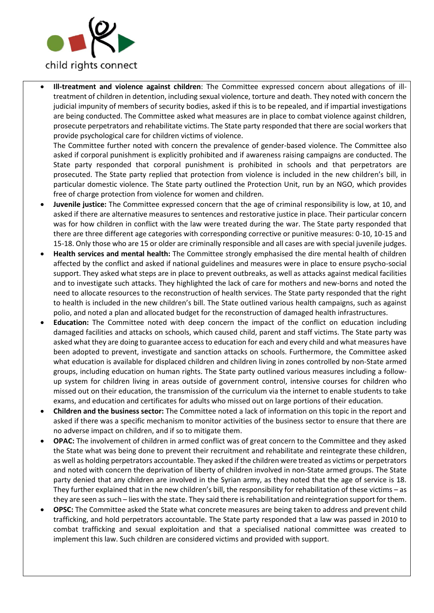

• **Ill-treatment and violence against children**: The Committee expressed concern about allegations of illtreatment of children in detention, including sexual violence, torture and death. They noted with concern the judicial impunity of members of security bodies, asked if this is to be repealed, and if impartial investigations are being conducted. The Committee asked what measures are in place to combat violence against children, prosecute perpetrators and rehabilitate victims. The State party responded that there are social workers that provide psychological care for children victims of violence.

The Committee further noted with concern the prevalence of gender-based violence. The Committee also asked if corporal punishment is explicitly prohibited and if awareness raising campaigns are conducted. The State party responded that corporal punishment is prohibited in schools and that perpetrators are prosecuted. The State party replied that protection from violence is included in the new children's bill, in particular domestic violence. The State party outlined the Protection Unit, run by an NGO, which provides free of charge protection from violence for women and children.

- **Juvenile justice:** The Committee expressed concern that the age of criminal responsibility is low, at 10, and asked if there are alternative measures to sentences and restorative justice in place. Their particular concern was for how children in conflict with the law were treated during the war. The State party responded that there are three different age categories with corresponding corrective or punitive measures: 0-10, 10-15 and 15-18. Only those who are 15 or older are criminally responsible and all cases are with special juvenile judges.
- **Health services and mental health:** The Committee strongly emphasised the dire mental health of children affected by the conflict and asked if national guidelines and measures were in place to ensure psycho-social support. They asked what steps are in place to prevent outbreaks, as well as attacks against medical facilities and to investigate such attacks. They highlighted the lack of care for mothers and new-borns and noted the need to allocate resources to the reconstruction of health services. The State party responded that the right to health is included in the new children's bill. The State outlined various health campaigns, such as against polio, and noted a plan and allocated budget for the reconstruction of damaged health infrastructures.
- **Education:** The Committee noted with deep concern the impact of the conflict on education including damaged facilities and attacks on schools, which caused child, parent and staff victims. The State party was asked what they are doing to guarantee access to education for each and every child and what measures have been adopted to prevent, investigate and sanction attacks on schools. Furthermore, the Committee asked what education is available for displaced children and children living in zones controlled by non-State armed groups, including education on human rights. The State party outlined various measures including a followup system for children living in areas outside of government control, intensive courses for children who missed out on their education, the transmission of the curriculum via the internet to enable students to take exams, and education and certificates for adults who missed out on large portions of their education.
- **Children and the business sector:** The Committee noted a lack of information on this topic in the report and asked if there was a specific mechanism to monitor activities of the business sector to ensure that there are no adverse impact on children, and if so to mitigate them.
- **OPAC:** The involvement of children in armed conflict was of great concern to the Committee and they asked the State what was being done to prevent their recruitment and rehabilitate and reintegrate these children, as well as holding perpetrators accountable. They asked if the children were treated as victims or perpetrators and noted with concern the deprivation of liberty of children involved in non-State armed groups. The State party denied that any children are involved in the Syrian army, as they noted that the age of service is 18. They further explained that in the new children's bill, the responsibility for rehabilitation of these victims – as they are seen as such – lies with the state. They said there is rehabilitation and reintegration support for them.
- **OPSC:** The Committee asked the State what concrete measures are being taken to address and prevent child trafficking, and hold perpetrators accountable. The State party responded that a law was passed in 2010 to combat trafficking and sexual exploitation and that a specialised national committee was created to implement this law. Such children are considered victims and provided with support.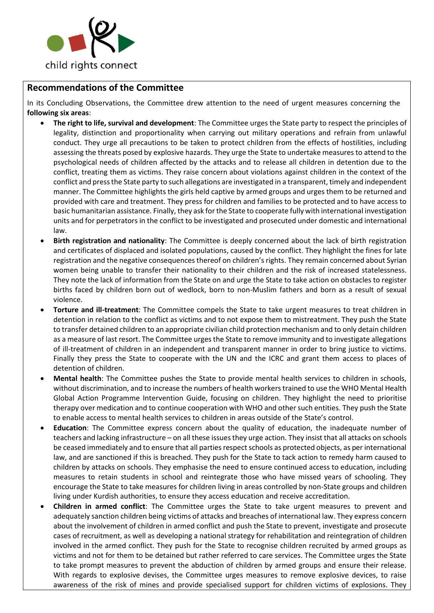

# **Recommendations of the Committee**

In its [Concluding Observations,](https://tbinternet.ohchr.org/_layouts/treatybodyexternal/Download.aspx?symbolno=CRC%2fC%2fSYR%2fCO%2f5&Lang=en) the Committee drew attention to the need of urgent measures concerning the **following six areas**:

- **The right to life, survival and development**: The Committee urges the State party to respect the principles of legality, distinction and proportionality when carrying out military operations and refrain from unlawful conduct. They urge all precautions to be taken to protect children from the effects of hostilities, including assessing the threats posed by explosive hazards. They urge the State to undertake measures to attend to the psychological needs of children affected by the attacks and to release all children in detention due to the conflict, treating them as victims. They raise concern about violations against children in the context of the conflict and press the State party to such allegations are investigated in a transparent, timely and independent manner. The Committee highlights the girls held captive by armed groups and urges them to be returned and provided with care and treatment. They press for children and families to be protected and to have access to basic humanitarian assistance. Finally, they ask for the State to cooperate fully with international investigation units and for perpetrators in the conflict to be investigated and prosecuted under domestic and international law.
- **Birth registration and nationality**: The Committee is deeply concerned about the lack of birth registration and certificates of displaced and isolated populations, caused by the conflict. They highlight the fines for late registration and the negative consequences thereof on children's rights. They remain concerned about Syrian women being unable to transfer their nationality to their children and the risk of increased statelessness. They note the lack of information from the State on and urge the State to take action on obstacles to register births faced by children born out of wedlock, born to non-Muslim fathers and born as a result of sexual violence.
- **Torture and ill-treatment**: The Committee compels the State to take urgent measures to treat children in detention in relation to the conflict as victims and to not expose them to mistreatment. They push the State to transfer detained children to an appropriate civilian child protection mechanism and to only detain children as a measure of last resort. The Committee urges the State to remove immunity and to investigate allegations of ill-treatment of children in an independent and transparent manner in order to bring justice to victims. Finally they press the State to cooperate with the UN and the ICRC and grant them access to places of detention of children.
- **Mental health**: The Committee pushes the State to provide mental health services to children in schools, without discrimination, and to increase the numbers of health workers trained to use the WHO Mental Health Global Action Programme Intervention Guide, focusing on children. They highlight the need to prioritise therapy over medication and to continue cooperation with WHO and other such entities. They push the State to enable access to mental health services to children in areas outside of the State's control.
- **Education**: The Committee express concern about the quality of education, the inadequate number of teachers and lacking infrastructure – on all these issues they urge action. They insist that all attacks on schools be ceased immediately and to ensure that all parties respect schools as protected objects, as per international law, and are sanctioned if this is breached. They push for the State to tack action to remedy harm caused to children by attacks on schools. They emphasise the need to ensure continued access to education, including measures to retain students in school and reintegrate those who have missed years of schooling. They encourage the State to take measures for children living in areas controlled by non-State groups and children living under Kurdish authorities, to ensure they access education and receive accreditation.
- **Children in armed conflict**: The Committee urges the State to take urgent measures to prevent and adequately sanction children being victims of attacks and breaches of international law. They express concern about the involvement of children in armed conflict and push the State to prevent, investigate and prosecute cases of recruitment, as well as developing a national strategy for rehabilitation and reintegration of children involved in the armed conflict. They push for the State to recognise children recruited by armed groups as victims and not for them to be detained but rather referred to care services. The Committee urges the State to take prompt measures to prevent the abduction of children by armed groups and ensure their release. With regards to explosive devises, the Committee urges measures to remove explosive devices, to raise awareness of the risk of mines and provide specialised support for children victims of explosions. They